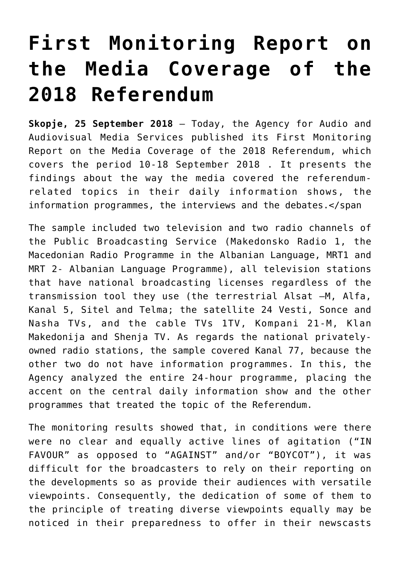## **[First Monitoring Report on](https://avmu.mk/en/2018/09/27/first-monitoring-report-on-the-media-coverage-of-the-2018-referendum/) [the Media Coverage of the](https://avmu.mk/en/2018/09/27/first-monitoring-report-on-the-media-coverage-of-the-2018-referendum/) [2018 Referendum](https://avmu.mk/en/2018/09/27/first-monitoring-report-on-the-media-coverage-of-the-2018-referendum/)**

**Skopje, 25 September 2018** – Today, the Agency for Audio and Audiovisual Media Services published its First Monitoring Report on the Media Coverage of the 2018 Referendum, which covers the period 10-18 September 2018 . It presents the findings about the way the media covered the referendumrelated topics in their daily information shows, the information programmes, the interviews and the debates.</span

The sample included two television and two radio channels of the Public Broadcasting Service (Makedonsko Radio 1, the Macedonian Radio Programme in the Albanian Language, MRT1 and MRT 2- Albanian Language Programme), all television stations that have national broadcasting licenses regardless of the transmission tool they use (the terrestrial Alsat –M, Alfa, Kanal 5, Sitel and Telma; the satellite 24 Vesti, Sonce and Nasha TVs, and the cable TVs 1TV, Kompani 21-M, Klan Makedonija and Shenja TV. As regards the national privatelyowned radio stations, the sample covered Kanal 77, because the other two do not have information programmes. In this, the Agency analyzed the entire 24-hour programme, placing the accent on the central daily information show and the other programmes that treated the topic of the Referendum.

The monitoring results showed that, in conditions were there were no clear and equally active lines of agitation ("IN FAVOUR" as opposed to "AGAINST" and/or "BOYCOT"), it was difficult for the broadcasters to rely on their reporting on the developments so as provide their audiences with versatile viewpoints. Consequently, the dedication of some of them to the principle of treating diverse viewpoints equally may be noticed in their preparedness to offer in their newscasts